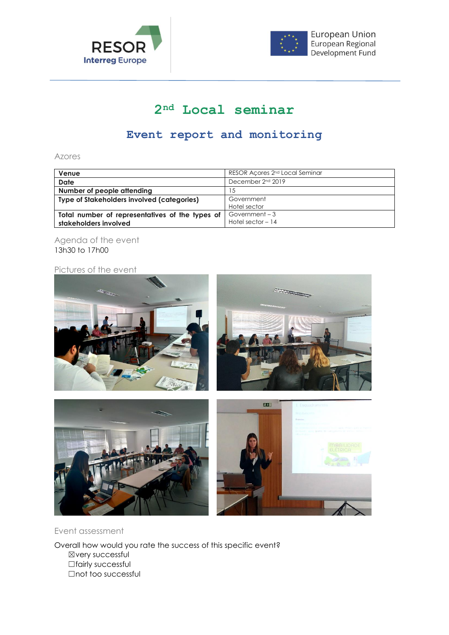



## **2nd Local seminar**

## **Event report and monitoring**

Azores

| Venue                                             | RESOR Acores 2 <sup>nd</sup> Local Seminar |
|---------------------------------------------------|--------------------------------------------|
| <b>Date</b>                                       | December 2 <sup>nd</sup> 2019              |
| Number of people attending                        | 15                                         |
| <b>Type of Stakeholders involved (categories)</b> | Government                                 |
|                                                   | Hotel sector                               |
| Total number of representatives of the types of   | Government-3                               |
| stakeholders involved                             | Hotel sector $-14$                         |

Agenda of the event 13h30 to 17h00

## Pictures of the event



Event assessment

Overall how would you rate the success of this specific event? ☒very successful □fairly successful ☐not too successful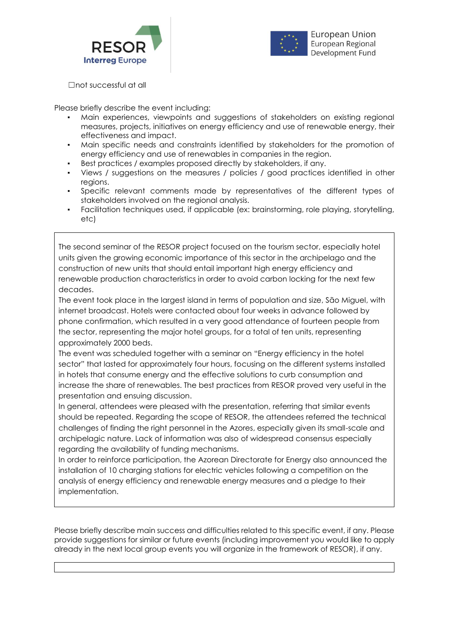



☐not successful at all

Please briefly describe the event including:

- Main experiences, viewpoints and suggestions of stakeholders on existing regional measures, projects, initiatives on energy efficiency and use of renewable energy, their effectiveness and impact.
- Main specific needs and constraints identified by stakeholders for the promotion of energy efficiency and use of renewables in companies in the region.
- Best practices / examples proposed directly by stakeholders, if any.
- Views / suggestions on the measures / policies / good practices identified in other regions.
- Specific relevant comments made by representatives of the different types of stakeholders involved on the regional analysis.
- Facilitation techniques used, if applicable (ex: brainstorming, role playing, storytelling, etc)

The second seminar of the RESOR project focused on the tourism sector, especially hotel units given the growing economic importance of this sector in the archipelago and the construction of new units that should entail important high energy efficiency and renewable production characteristics in order to avoid carbon locking for the next few decades.

The event took place in the largest island in terms of population and size, São Miguel, with internet broadcast. Hotels were contacted about four weeks in advance followed by phone confirmation, which resulted in a very good attendance of fourteen people from the sector, representing the major hotel groups, for a total of ten units, representing approximately 2000 beds.

The event was scheduled together with a seminar on "Energy efficiency in the hotel sector" that lasted for approximately four hours, focusing on the different systems installed in hotels that consume energy and the effective solutions to curb consumption and increase the share of renewables. The best practices from RESOR proved very useful in the presentation and ensuing discussion.

In general, attendees were pleased with the presentation, referring that similar events should be repeated. Regarding the scope of RESOR, the attendees referred the technical challenges of finding the right personnel in the Azores, especially given its small-scale and archipelagic nature. Lack of information was also of widespread consensus especially regarding the availability of funding mechanisms.

In order to reinforce participation, the Azorean Directorate for Energy also announced the installation of 10 charging stations for electric vehicles following a competition on the analysis of energy efficiency and renewable energy measures and a pledge to their implementation.

Please briefly describe main success and difficulties related to this specific event, if any. Please provide suggestions for similar or future events (including improvement you would like to apply already in the next local group events you will organize in the framework of RESOR), if any.